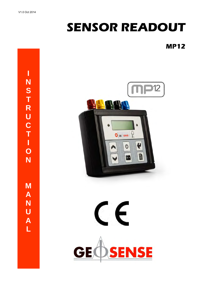## **SENSOR READOUT**

### **MP12**

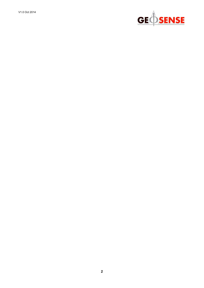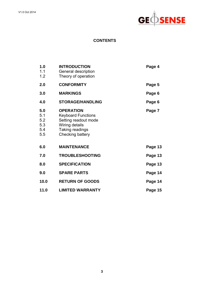

### **CONTENTS**

| 1.0<br>1.1<br>1.2                      | <b>INTRODUCTION</b><br>General description<br>Theory of operation                                                              | Page 4  |
|----------------------------------------|--------------------------------------------------------------------------------------------------------------------------------|---------|
| 2.0                                    | <b>CONFORMITY</b>                                                                                                              | Page 5  |
| 3.0                                    | <b>MARKINGS</b>                                                                                                                | Page 6  |
| 4.0                                    | <b>STORAGE/HANDLING</b>                                                                                                        | Page 6  |
| 5.0<br>5.1<br>5.2<br>5.3<br>5.4<br>5.5 | <b>OPERATION</b><br><b>Keyboard Functions</b><br>Setting readout mode<br>Wiring details<br>Taking readings<br>Checking battery | Page 7  |
| 6.0                                    | <b>MAINTENANCE</b>                                                                                                             | Page 13 |
| 7.0                                    | <b>TROUBLESHOOTING</b>                                                                                                         | Page 13 |
| 8.0                                    | <b>SPECIFICATION</b>                                                                                                           | Page 13 |
| 9.0                                    | <b>SPARE PARTS</b>                                                                                                             | Page 14 |
| 10.0                                   | <b>RETURN OF GOODS</b>                                                                                                         | Page 14 |
| 11.0                                   | <b>LIMITED WARRANTY</b>                                                                                                        | Page 15 |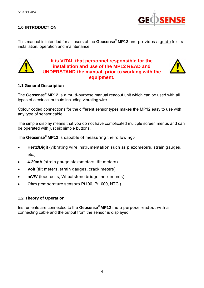

### **1.0 INTRODUCTION**

This manual is intended for all users of the **Geosense® MP12** and provides a guide for its installation, operation and maintenance.



### **It is VITAL that personnel responsible for the installation and use of the MP12 READ and UNDERSTAND the manual, prior to working with the equipment.**



### **1.1 General Description**

The **Geosense® MP12** is a multi-purpose manual readout unit which can be used with all types of electrical outputs including vibrating wire.

Colour coded connections for the different sensor types makes the MP12 easy to use with any type of sensor cable.

The simple display means that you do not have complicated multiple screen menus and can be operated with just six simple buttons.

The **Geosense® MP12** is capable of measuring the following:-

- **Hertz/Digit** (vibrating wire instrumentation such as piezometers, strain gauges, etc.)
- 4-20mA (strain gauge piezometers, tilt meters)
- **Volt** (tilt meters, strain gauges, crack meters)
- mV/V (load cells, Wheatstone bridge instruments)
- **Ohm** (temperature sensors Pt100, Pt1000, NTC)

### **1.2 Theory of Operation**

Instruments are connected to the **Geosense® MP12** multi purpose readout with a connecting cable and the output from the sensor is displayed.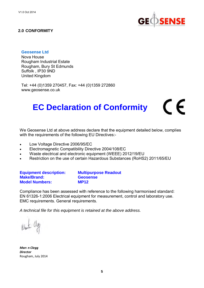

 $\epsilon$ 

### **2.0 CONFORMITY**

#### **Geosense Ltd**

Nova House Rougham Industrial Estate Rougham, Bury St Edmunds Suffolk , IP30 9ND United Kingdom

Tel: +44 (0)1359 270457, Fax: +44 (0)1359 272860 www.geosense.co.uk

## **EC Declaration of Conformity**

We Geosense Ltd at above address declare that the equipment detailed below, complies with the requirements of the following EU Directives:-

- · Low Voltage Directive 2006/95/EC
- · Electromagnetic Compatibility Directive 2004/108/EC
- · Waste electrical and electronic equipment (WEEE) 2012/19/EU
- Restriction on the use of certain Hazardous Substances (RoHS2) 2011/65/EU

**Equipment description: Multipurpose Readout Make/Brand: Geosense Model Numbers: MP12** 

Compliance has been assessed with reference to the following harmonised standard: EN 61326-1:2006 Electrical equipment for measurement, control and laboratory use. EMC requirements. General requirements.

*A technical file for this equipment is retained at the above address.* 

*Marı n Clegg Director*  Rougham, July 2014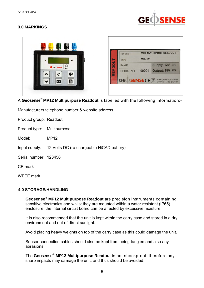

### **3.0 MARKINGS**

| <b>MP-12</b><br><b>TYPE</b><br>5<br>$\bullet$<br>$\bullet$         |  |
|--------------------------------------------------------------------|--|
|                                                                    |  |
| 8<br>Supply: 12V ===<br><b>RANGE</b><br>O GE SENSE                 |  |
| Output: 15V ---<br>00001<br><b>SERIAL NO</b><br>RE<br>U<br>$\circ$ |  |

A **Geosense® MP12 Multipurpose Readout** is labelled with the following information:-

Manufacturers telephone number & website address

Product group: Readout

Product type: Multipurpose

Model: MP12

Input supply: 12 Volts DC (re-chargeable NiCAD battery)

Serial number: 123456

CE mark

WEEE mark

### **4.0 STORAGE/HANDLING**

**Geosense® MP12 Multipurpose Readout** are precision instruments containing sensitive electronics and whilst they are mounted within a water resistant (IP65) enclosure, the internal circuit board can be affected by excessive moisture.

It is also recommended that the unit is kept within the carry case and stored in a dry environment and out of direct sunlight.

Avoid placing heavy weights on top of the carry case as this could damage the unit.

Sensor connection cables should also be kept from being tangled and also any abrasions.

The **Geosense® MP12 Multipurpose Readout** is not shockproof, therefore any sharp impacts may damage the unit, and thus should be avoided.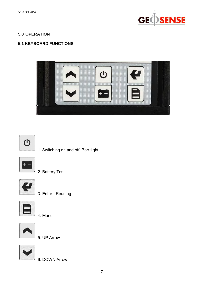

### **5.0 OPERATION**

### **5.1 KEYBOARD FUNCTIONS**





1. Switching on and off. Backlight.



2. Battery Test



3. Enter - Reading



4. Menu



5. UP Arrow



6. DOWN Arrow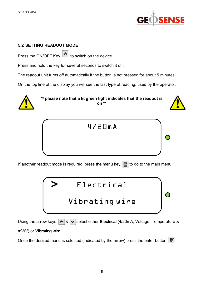

### **5.2 SETTING READOUT MODE**

Press the ON/OFF Key  $\overline{\circ}$  to switch on the device.

Press and hold the key for several seconds to switch it off.

The readout unit turns off automatically if the button is not pressed for about 5 minutes.

On the top line of the display you will see the last type of reading, used by the operator.



**\*\* please note that a lit green light indicates that the readout is on \*\*** 





If another readout mode is required, press the menu key  $\|\mathbf{r}\|$  to go to the main menu.



Using the arrow keys  $\boxed{\frown}$  &  $\boxed{\smile}$  select either **Electrical** (4/20mA, Voltage, Temperature & mV/V) or **Vibrating wire.** 

Once the desired menu is selected (indicated by the arrow) press the enter button  $\blacktriangleleft$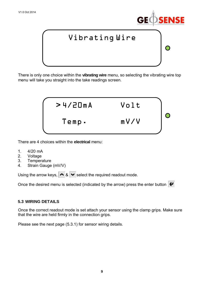

### Vibrating Wire

There is only one choice within the **vibrating wire** menu, so selecting the vibrating wire top menu will take you straight into the take readings screen.



There are 4 choices within the **electrical** menu:

- 1. 4/20 mA
- 2. Voltage
- 3. Temperature
- 4. Strain Gauge (mV/V)

Using the arrow keys,  $\overline{\wedge}$  &  $\overline{\vee}$  select the required readout mode.

Once the desired menu is selected (indicated by the arrow) press the enter button  $\blacktriangleleft$ 

### **5.3 WIRING DETAILS**

Once the correct readout mode is set attach your sensor using the clamp grips. Make sure that the wire are held firmly in the connection grips.

Please see the next page (5.3.1) for sensor wiring details.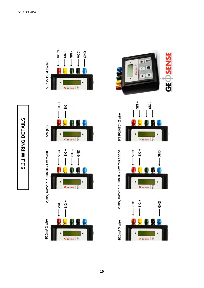









**10**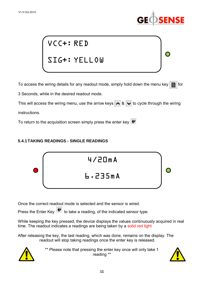

# VCC+: RED SIG+: YELLOW

To access the wiring details for any readout mode, simply hold down the menu key  $\blacksquare$  for

3 Seconds, while in the desired readout mode.

This will access the wiring menu, use the arrow keys  $\land$  &  $\lor$  to cycle through the wiring instructions.

To return to the acquisition screen simply press the enter key  $\blacktriangleleft$ 

### **5.4.1 TAKING READINGS - SINGLE READINGS**



Once the correct readout mode is selected and the sensor is wired.

Press the Enter Key  $\blacktriangleleft$  to take a reading, of the indicated sensor type.

While keeping the key pressed, the device displays the values continuously acquired in real time. The readout indicates a readings are being taken by a solid red light

After releasing the key, the last reading, which was done, remains on the display. The readout will stop taking readings once the enter key is released.



\*\* Please note that pressing the enter key once will only take 1 reading \*\*

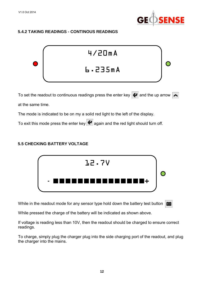

### **5.4.2 TAKING READINGS - CONTINOUS READINGS**



To set the readout to continuous readings press the enter key  $\blacklozenge$  and the up arrow  $\blacktriangle$ at the same time.

The mode is indicated to be on my a solid red light to the left of the display.

To exit this mode press the enter key  $\blacktriangleleft$  again and the red light should turn off.

### **5.5 CHECKING BATTERY VOLTAGE**



While in the readout mode for any sensor type hold down the battery test button  $\left| \bullet \right|$ 

While pressed the charge of the battery will be indicated as shown above.

If voltage is reading less than 10V, then the readout should be charged to ensure correct readings.

To charge, simply plug the charger plug into the side charging port of the readout, and plug the charger into the mains.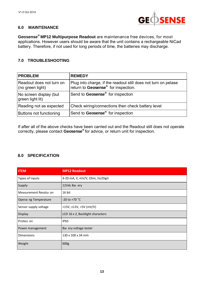

### **6.0 MAINTENANCE**

**Geosense® MP12 Multipurpose Readout** are maintenance free devices, for most applications. However users should be aware that the unit contains a rechargeable NiCad battery. Therefore, if not used for long periods of time, the batteries may discharge.

### **7.0 TROUBLESHOOTING**

| <b>PROBLEM</b>                                   | <b>REMEDY</b>                                                                                                     |
|--------------------------------------------------|-------------------------------------------------------------------------------------------------------------------|
| Readout does not turn on<br>$ $ (no green light) | Plug into charge, if the readout still does not turn on pelase<br>return to Geosense <sup>®</sup> for inspection. |
| No screen display (but<br>green light lit)       | Send to Geosense <sup>®</sup> for inspection                                                                      |
| Reading not as expected                          | Check wiring/connections then check battery level                                                                 |
| <b>Buttons not functioning</b>                   | Send to Geosense <sup>®</sup> for inspection                                                                      |

If after all of the above checks have been carried out and the Readout still does not operate correctly, please contact **Geosense®** for advice, or return unit for inspection.

### **8.0 SPECIFICATION**

| <b>ITEM</b>            | <b>MP12 Readout</b>              |
|------------------------|----------------------------------|
| Types of inputs        | 4-20 mA, V, mV/V, Ohm, Hz/Digit  |
| Supply                 | 12Vdc Bai ery                    |
| Measurement Resolui on | 16 bit                           |
| Operal ng Temperature  | $-20$ to $+70$ $^{\circ}$ C      |
| Sensor supply voltage  | +15V, ±12V, +5V (mV/V)           |
| Display                | LCD 16 x 2, Backlight characters |
| Proteci on             | <b>IP65</b>                      |
| Power management       | Bai ery voltage tester           |
| Dimensions             | 130 x 100 x 34 mm                |
| Weight                 | 600g                             |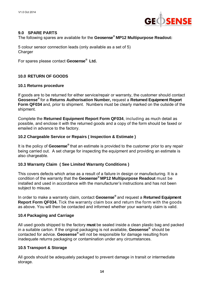

### **9.0 SPARE PARTS**

The following spares are available for the **Geosense® MP12 Multipurpose Readout:** 

5 colour sensor connection leads (only available as a set of 5) Charger

For spares please contact **Geosense® Ltd.**

### **10.0 RETURN OF GOODS**

### **10.1 Returns procedure**

If goods are to be returned for either service/repair or warranty, the customer should contact **Geosense®** for a **Returns Authorisation Number,** request a **Returned Equipment Report Form QF034** and, prior to shipment. Numbers must be clearly marked on the outside of the shipment.

Complete the **Returned Equipment Report Form QF034**, including as much detail as possible, and enclose it with the returned goods and a copy of the form should be faxed or emailed in advance to the factory.

### **10.2 Chargeable Service or Repairs ( Inspection & Estimate )**

It is the policy of **Geosense®** that an estimate is provided to the customer prior to any repair being carried out. A set charge for inspecting the equipment and providing an estimate is also chargeable.

### **10.3 Warranty Claim ( See Limited Warranty Conditions )**

This covers defects which arise as a result of a failure in design or manufacturing. It is a condition of the warranty that the **Geosense® MP12 Multipurpose Readout** must be installed and used in accordance with the manufacturer's instructions and has not been subject to misuse.

In order to make a warranty claim, contact **Geosense®** and request a **Returned Equipment Report Form QF034.** Tick the warranty claim box and return the form with the goods as above. You will then be contacted and informed whether your warranty claim is valid.

### **10.4 Packaging and Carriage**

All used goods shipped to the factory **must** be sealed inside a clean plastic bag and packed in a suitable carton. If the original packaging is not available, **Geosense®** should be contacted for advice. **Geosense®** will not be responsible for damage resulting from inadequate returns packaging or contamination under any circumstances.

### **10.5 Transport & Storage**

All goods should be adequately packaged to prevent damage in transit or intermediate storage.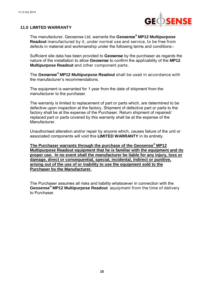

### **11.0 LIMITED WARRANTY**

 The manufacturer, Geosense Ltd, warrants the **Geosense® MP12 Multipurpose Readout** manufactured by it, under normal use and service, to be free from defects in material and workmanship under the following terms and conditions:-

Sufficient site data has been provided to **Geosense** by the purchaser as regards the nature of the installation to allow **Geosense** to confirm the applicability of the **MP12 Multipurpose Readout** and other component parts.

The **Geosense® MP12 Multipurpose Readout** shall be used in accordance with the manufacturer's recommendations.

The equipment is warranted for 1 year from the date of shipment from the manufacturer to the purchaser.

The warranty is limited to replacement of part or parts which, are determined to be defective upon inspection at the factory. Shipment of defective part or parts to the factory shall be at the expense of the Purchaser. Return shipment of repaired/ replaced part or parts covered by this warranty shall be at the expense of the Manufacturer.

Unauthorised alteration and/or repair by anyone which, causes failure of the unit or associated components will void this **LIMITED WARRANTY** in its entirety.

**The Purchaser warrants through the purchase of the Geosense® MP12 Multipurpose Readout equipment that he is familiar with the equipment and its proper use. In no event shall the manufacturer be liable for any injury, loss or damage, direct or consequential, special, incidental, indirect or punitive, arising out of the use of or inability to use the equipment sold to the Purchaser by the Manufacturer.** 

The Purchaser assumes all risks and liability whatsoever in connection with the **Geosense® MP12 Multipurpose Readout** equipment from the time of delivery to Purchaser.